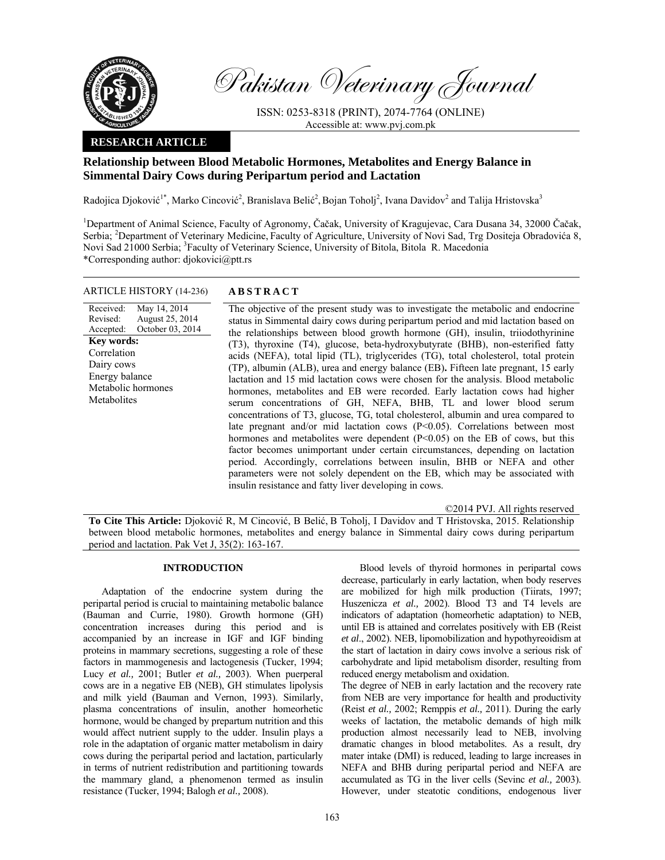

Pakistan Veterinary Journal

ISSN: 0253-8318 (PRINT), 2074-7764 (ONLINE) Accessible at: www.pvj.com.pk

## **RESEARCH ARTICLE**

# **Relationship between Blood Metabolic Hormones, Metabolites and Energy Balance in Simmental Dairy Cows during Peripartum period and Lactation**

Radojica Djoković<sup>1\*</sup>, Marko Cincović<sup>2</sup>, Branislava Belić<sup>2</sup>, Bojan Toholj<sup>2</sup>, Ivana Davidov<sup>2</sup> and Talija Hristovska<sup>3</sup>

<sup>1</sup>Department of Animal Science, Faculty of Agronomy, Čačak, University of Kragujevac, Cara Dusana 34, 32000 Čačak, Serbia; <sup>2</sup>Department of Veterinary Medicine, Faculty of Agriculture, University of Novi Sad, Trg Dositeja Obradovića 8, Novi Sad 21000 Serbia; <sup>3</sup>Faculty of Veterinary Science, University of Bitola, Bitola R. Macedonia \*Corresponding author: djokovici@ptt.rs

## ARTICLE HISTORY (14-236) **ABSTRACT**

Received: Revised: Accepted: May 14, 2014 August 25, 2014 October 03, 2014 **Key words:**  Correlation Dairy cows Energy balance Metabolic hormones **Metabolites** 

 The objective of the present study was to investigate the metabolic and endocrine status in Simmental dairy cows during peripartum period and mid lactation based on the relationships between blood growth hormone (GH), insulin, triiodothyrinine (T3), thyroxine (T4), glucose, beta-hydroxybutyrate (BHB), non-esterified fatty acids (NEFA), total lipid (TL), triglycerides (TG), total cholesterol, total protein (TP), albumin (ALB), urea and energy balance (EB)**.** Fifteen late pregnant, 15 early lactation and 15 mid lactation cows were chosen for the analysis. Blood metabolic hormones, metabolites and EB were recorded. Early lactation cows had higher serum concentrations of GH, NEFA, BHB, TL and lower blood serum concentrations of T3, glucose, TG, total cholesterol, albumin and urea compared to late pregnant and/or mid lactation cows (P<0.05). Correlations between most hormones and metabolites were dependent  $(P< 0.05)$  on the EB of cows, but this factor becomes unimportant under certain circumstances, depending on lactation period. Accordingly, correlations between insulin, BHB or NEFA and other parameters were not solely dependent on the EB, which may be associated with insulin resistance and fatty liver developing in cows.

©2014 PVJ. All rights reserved

**To Cite This Article:** Djoković R, M Cincović, B Belić, B Toholj, I Davidov and T Hristovska, 2015. Relationship between blood metabolic hormones, metabolites and energy balance in Simmental dairy cows during peripartum period and lactation. Pak Vet J, 35(2): 163-167.

## **INTRODUCTION**

Adaptation of the endocrine system during the peripartal period is crucial to maintaining metabolic balance (Bauman and Currie, 1980). Growth hormone (GH) concentration increases during this period and is accompanied by an increase in IGF and IGF binding proteins in mammary secretions, suggesting a role of these factors in mammogenesis and lactogenesis (Tucker, 1994; Lucy *et al.,* 2001; Butler *et al.,* 2003). When puerperal cows are in a negative EB (NEB), GH stimulates lipolysis and milk yield (Bauman and Vernon, 1993). Similarly, plasma concentrations of insulin, another homeorhetic hormone, would be changed by prepartum nutrition and this would affect nutrient supply to the udder. Insulin plays a role in the adaptation of organic matter metabolism in dairy cows during the peripartal period and lactation, particularly in terms of nutrient redistribution and partitioning towards the mammary gland, a phenomenon termed as insulin resistance (Tucker, 1994; Balogh *et al.,* 2008).

Blood levels of thyroid hormones in peripartal cows decrease, particularly in early lactation, when body reserves are mobilized for high milk production (Tiirats, 1997; Huszenicza *et al.,* 2002). Blood T3 and T4 levels are indicators of adaptation (homeorhetic adaptation) to NEB, until EB is attained and correlates positively with EB (Reist *et al*., 2002). NEB, lipomobilization and hypothyreoidism at the start of lactation in dairy cows involve a serious risk of carbohydrate and lipid metabolism disorder, resulting from reduced energy metabolism and oxidation.

The degree of NEB in early lactation and the recovery rate from NEB are very importance for health and productivity (Reist *et al.,* 2002; Remppis *et al.,* 2011). During the early weeks of lactation, the metabolic demands of high milk production almost necessarily lead to NEB, involving dramatic changes in blood metabolites. As a result, dry mater intake (DMI) is reduced, leading to large increases in NEFA and BHB during peripartal period and NEFA are accumulated as TG in the liver cells (Sevinc *et al.,* 2003). However, under steatotic conditions, endogenous liver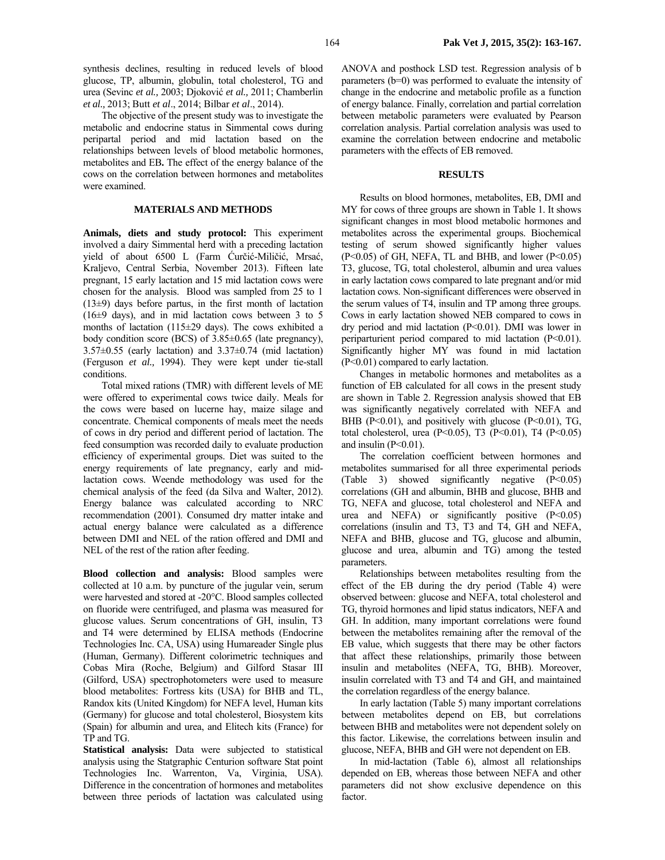synthesis declines, resulting in reduced levels of blood glucose, TP, albumin, globulin, total cholesterol, TG and urea (Sevinc *et al.,* 2003; Djoković *et al.,* 2011; Chamberlin *et al.,* 2013; Butt *et al*., 2014; Bilbar *et al*., 2014).

The objective of the present study was to investigate the metabolic and endocrine status in Simmental cows during peripartal period and mid lactation based on the relationships between levels of blood metabolic hormones, metabolites and EB**.** The effect of the energy balance of the cows on the correlation between hormones and metabolites were examined.

## **MATERIALS AND METHODS**

**Animals, diets and study protocol:** This experiment involved a dairy Simmental herd with a preceding lactation yield of about 6500 L (Farm Ćurčić-Miličić, Mrsać, Kraljevo, Central Serbia, November 2013). Fifteen late pregnant, 15 early lactation and 15 mid lactation cows were chosen for the analysis. Blood was sampled from 25 to 1  $(13±9)$  days before partus, in the first month of lactation (16±9 days), and in mid lactation cows between 3 to 5 months of lactation (115±29 days). The cows exhibited a body condition score (BCS) of 3.85±0.65 (late pregnancy), 3.57±0.55 (early lactation) and 3.37±0.74 (mid lactation) (Ferguson *et al.,* 1994). They were kept under tie-stall conditions.

Total mixed rations (TMR) with different levels of ME were offered to experimental cows twice daily. Meals for the cows were based on lucerne hay, maize silage and concentrate. Chemical components of meals meet the needs of cows in dry period and different period of lactation. The feed consumption was recorded daily to evaluate production efficiency of experimental groups. Diet was suited to the energy requirements of late pregnancy, early and midlactation cows. Weende methodology was used for the chemical analysis of the feed (da Silva and Walter, 2012). Energy balance was calculated according to NRC recommendation (2001). Consumed dry matter intake and actual energy balance were calculated as a difference between DMI and NEL of the ration offered and DMI and NEL of the rest of the ration after feeding.

**Blood collection and analysis:** Blood samples were collected at 10 a.m. by puncture of the jugular vein, serum were harvested and stored at -20°C. Blood samples collected on fluoride were centrifuged, and plasma was measured for glucose values. Serum concentrations of GH, insulin, T3 and T4 were determined by ELISA methods (Endocrine Technologies Inc. CA, USA) using Humareader Single plus (Human, Germany). Different colorimetric techniques and Cobas Mira (Roche, Belgium) and Gilford Stasar III (Gilford, USA) spectrophotometers were used to measure blood metabolites: Fortress kits (USA) for BHB and TL, Randox kits (United Kingdom) for NEFA level, Human kits (Germany) for glucose and total cholesterol, Biosystem kits (Spain) for albumin and urea, and Elitech kits (France) for TP and TG.

**Statistical analysis:** Data were subjected to statistical analysis using the Statgraphic Centurion software Stat point Technologies Inc. Warrenton, Va, Virginia, USA). Difference in the concentration of hormones and metabolites between three periods of lactation was calculated using

ANOVA and posthock LSD test. Regression analysis of b parameters (b=0) was performed to evaluate the intensity of change in the endocrine and metabolic profile as a function of energy balance. Finally, correlation and partial correlation between metabolic parameters were evaluated by Pearson correlation analysis. Partial correlation analysis was used to examine the correlation between endocrine and metabolic parameters with the effects of EB removed.

## **RESULTS**

Results on blood hormones, metabolites, EB, DMI and MY for cows of three groups are shown in Table 1. It shows significant changes in most blood metabolic hormones and metabolites across the experimental groups. Biochemical testing of serum showed significantly higher values  $(P<0.05)$  of GH, NEFA, TL and BHB, and lower  $(P<0.05)$ T3, glucose, TG, total cholesterol, albumin and urea values in early lactation cows compared to late pregnant and/or mid lactation cows. Non-significant differences were observed in the serum values of T4, insulin and TP among three groups. Cows in early lactation showed NEB compared to cows in dry period and mid lactation (P<0.01). DMI was lower in periparturient period compared to mid lactation (P<0.01). Significantly higher MY was found in mid lactation (P<0.01) compared to early lactation.

Changes in metabolic hormones and metabolites as a function of EB calculated for all cows in the present study are shown in Table 2. Regression analysis showed that EB was significantly negatively correlated with NEFA and BHB ( $P<0.01$ ), and positively with glucose ( $P<0.01$ ), TG, total cholesterol, urea (P<0.05), T3 (P<0.01), T4 (P<0.05) and insulin  $(P<0.01)$ .

The correlation coefficient between hormones and metabolites summarised for all three experimental periods (Table 3) showed significantly negative (P<0.05) correlations (GH and albumin, BHB and glucose, BHB and TG, NEFA and glucose, total cholesterol and NEFA and urea and NEFA) or significantly positive  $(P<0.05)$ correlations (insulin and T3, T3 and T4, GH and NEFA, NEFA and BHB, glucose and TG, glucose and albumin, glucose and urea, albumin and TG) among the tested parameters.

Relationships between metabolites resulting from the effect of the EB during the dry period (Table 4) were observed between: glucose and NEFA, total cholesterol and TG, thyroid hormones and lipid status indicators, NEFA and GH. In addition, many important correlations were found between the metabolites remaining after the removal of the EB value, which suggests that there may be other factors that affect these relationships, primarily those between insulin and metabolites (NEFA, TG, BHB). Moreover, insulin correlated with T3 and T4 and GH, and maintained the correlation regardless of the energy balance.

In early lactation (Table 5) many important correlations between metabolites depend on EB, but correlations between BHB and metabolites were not dependent solely on this factor. Likewise, the correlations between insulin and glucose, NEFA, BHB and GH were not dependent on EB.

In mid-lactation (Table 6), almost all relationships depended on EB, whereas those between NEFA and other parameters did not show exclusive dependence on this factor.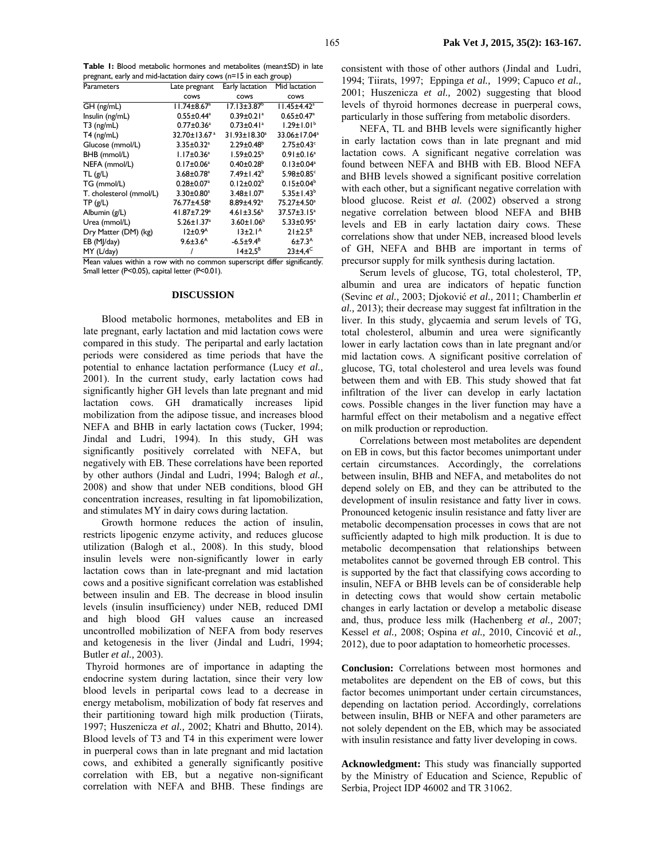**Table 1:** Blood metabolic hormones and metabolites (mean±SD) in late pregnant, early and mid-lactation dairy cows (n=15 in each group)

| Parameters              | Late pregnant                 | Early lactation              | Mid lactation                 |
|-------------------------|-------------------------------|------------------------------|-------------------------------|
|                         | cows                          | cows                         | <b>COWS</b>                   |
| GH (ng/mL)              | $11.74 \pm 8.67$ <sup>a</sup> | $17.13 \pm 3.87^{\circ}$     | $11.45 \pm 4.42$ <sup>a</sup> |
| Insulin (ng/mL)         | $0.55 \pm 0.44$ <sup>a</sup>  | $0.39 \pm 0.21$ <sup>a</sup> | $0.65 \pm 0.47$ <sup>a</sup>  |
| $T3$ (ng/mL)            | $0.77 \pm 0.36^a$             | $0.73 \pm 0.41$ <sup>a</sup> | $1.29 \pm 1.01^{b}$           |
| $T4$ (ng/mL)            | 32.70±13.67 <sup>a</sup>      | 31.93±18.30 <sup>a</sup>     | 33.06±17.04 <sup>a</sup>      |
| Glucose (mmol/L)        | $3.35 \pm 0.32$ <sup>a</sup>  | $2.29 \pm 0.48^b$            | $2.75 \pm 0.43$ <sup>c</sup>  |
| BHB (mmol/L)            | $1.17 \pm 0.36^a$             | $1.59 \pm 0.25^b$            | $0.91 \pm 0.16^a$             |
| NEFA (mmol/L)           | $0.17 \pm 0.06^a$             | $0.40 \pm 0.28$ <sup>b</sup> | $0.13 \pm 0.04^a$             |
| TL(g/L)                 | $3.68 \pm 0.78$ <sup>a</sup>  | $7.49 \pm 1.42$ <sup>b</sup> | 5.98±0.85c                    |
| TG (mmol/L)             | $0.28 \pm 0.07^a$             | $0.12 \pm 0.02^b$            | $0.15 \pm 0.04^b$             |
| T. cholesterol (mmol/L) | 3.30±0.80 <sup>a</sup>        | $3.48 \pm 1.07^a$            | $5.35 \pm 1.43^b$             |
| TP(g/L)                 | 76.77±4.58ª                   | $8.89{\pm}4.92^{\mathrm{a}}$ | 75.27±4.50 <sup>a</sup>       |
| Albumin (g/L)           | 41.87±7.29 <sup>a</sup>       | $4.61 \pm 3.56^b$            | 37.57±3.15 <sup>a</sup>       |
| Urea (mmol/L)           | $5.26 \pm 1.37$ <sup>a</sup>  | $3.60 \pm 1.06^b$            | $5.33 \pm 0.95$ <sup>a</sup>  |
| Dry Matter (DM) (kg)    | $12\pm0.9$ <sup>A</sup>       | 13±2.1 <sup>A</sup>          | $21 \pm 2.5^B$                |
| EB (MJ/day)             | $9.6 \pm 3.6$ <sup>A</sup>    | $-6.5 \pm 9.4^B$             | 6 ± 7.3 <sup>A</sup>          |
| MY (L/day)              |                               | $14\pm2.5^B$                 | $23\pm4.4^C$                  |

Mean values within a row with no common superscript differ significantly. Small letter (P<0.05), capital letter (P<0.01).

### **DISCUSSION**

Blood metabolic hormones, metabolites and EB in late pregnant, early lactation and mid lactation cows were compared in this study. The peripartal and early lactation periods were considered as time periods that have the potential to enhance lactation performance (Lucy *et al.,* 2001). In the current study, early lactation cows had significantly higher GH levels than late pregnant and mid lactation cows. GH dramatically increases lipid mobilization from the adipose tissue, and increases blood NEFA and BHB in early lactation cows (Tucker, 1994; Jindal and Ludri, 1994). In this study, GH was significantly positively correlated with NEFA, but negatively with EB. These correlations have been reported by other authors (Jindal and Ludri, 1994; Balogh *et al.,* 2008) and show that under NEB conditions, blood GH concentration increases, resulting in fat lipomobilization, and stimulates MY in dairy cows during lactation.

Growth hormone reduces the action of insulin, restricts lipogenic enzyme activity, and reduces glucose utilization (Balogh et al., 2008). In this study, blood insulin levels were non-significantly lower in early lactation cows than in late-pregnant and mid lactation cows and a positive significant correlation was established between insulin and EB. The decrease in blood insulin levels (insulin insufficiency) under NEB, reduced DMI and high blood GH values cause an increased uncontrolled mobilization of NEFA from body reserves and ketogenesis in the liver (Jindal and Ludri, 1994; Butler *et al.,* 2003).

 Thyroid hormones are of importance in adapting the endocrine system during lactation, since their very low blood levels in peripartal cows lead to a decrease in energy metabolism, mobilization of body fat reserves and their partitioning toward high milk production (Tiirats, 1997; Huszenicza *et al.,* 2002; Khatri and Bhutto, 2014). Blood levels of T3 and T4 in this experiment were lower in puerperal cows than in late pregnant and mid lactation cows, and exhibited a generally significantly positive correlation with EB, but a negative non-significant correlation with NEFA and BHB. These findings are

consistent with those of other authors (Jindal and Ludri, 1994; Tiirats, 1997; Eppinga *et al.,* 1999; Capuco *et al.,* 2001; Huszenicza *et al.,* 2002) suggesting that blood levels of thyroid hormones decrease in puerperal cows, particularly in those suffering from metabolic disorders.

NEFA, TL and BHB levels were significantly higher in early lactation cows than in late pregnant and mid lactation cows. A significant negative correlation was found between NEFA and BHB with EB. Blood NEFA and BHB levels showed a significant positive correlation with each other, but a significant negative correlation with blood glucose. Reist *et al.* (2002) observed a strong negative correlation between blood NEFA and BHB levels and EB in early lactation dairy cows. These correlations show that under NEB, increased blood levels of GH, NEFA and BHB are important in terms of precursor supply for milk synthesis during lactation.

Serum levels of glucose, TG, total cholesterol, TP, albumin and urea are indicators of hepatic function (Sevinc *et al.,* 2003; Djoković *et al.,* 2011; Chamberlin *et al.,* 2013); their decrease may suggest fat infiltration in the liver. In this study, glycaemia and serum levels of TG, total cholesterol, albumin and urea were significantly lower in early lactation cows than in late pregnant and/or mid lactation cows. A significant positive correlation of glucose, TG, total cholesterol and urea levels was found between them and with EB. This study showed that fat infiltration of the liver can develop in early lactation cows. Possible changes in the liver function may have a harmful effect on their metabolism and a negative effect on milk production or reproduction.

Correlations between most metabolites are dependent on EB in cows, but this factor becomes unimportant under certain circumstances. Accordingly, the correlations between insulin, BHB and NEFA, and metabolites do not depend solely on EB, and they can be attributed to the development of insulin resistance and fatty liver in cows. Pronounced ketogenic insulin resistance and fatty liver are metabolic decompensation processes in cows that are not sufficiently adapted to high milk production. It is due to metabolic decompensation that relationships between metabolites cannot be governed through EB control. This is supported by the fact that classifying cows according to insulin, NEFA or BHB levels can be of considerable help in detecting cows that would show certain metabolic changes in early lactation or develop a metabolic disease and, thus, produce less milk (Hachenberg *et al.,* 2007; Kessel *et al.,* 2008; Ospina *et al.,* 2010, Cincović et *al.,* 2012), due to poor adaptation to homeorhetic processes.

**Conclusion:** Correlations between most hormones and metabolites are dependent on the EB of cows, but this factor becomes unimportant under certain circumstances, depending on lactation period. Accordingly, correlations between insulin, BHB or NEFA and other parameters are not solely dependent on the EB, which may be associated with insulin resistance and fatty liver developing in cows.

**Acknowledgment:** This study was financially supported by the Ministry of Education and Science, Republic of Serbia, Project IDP 46002 and TR 31062.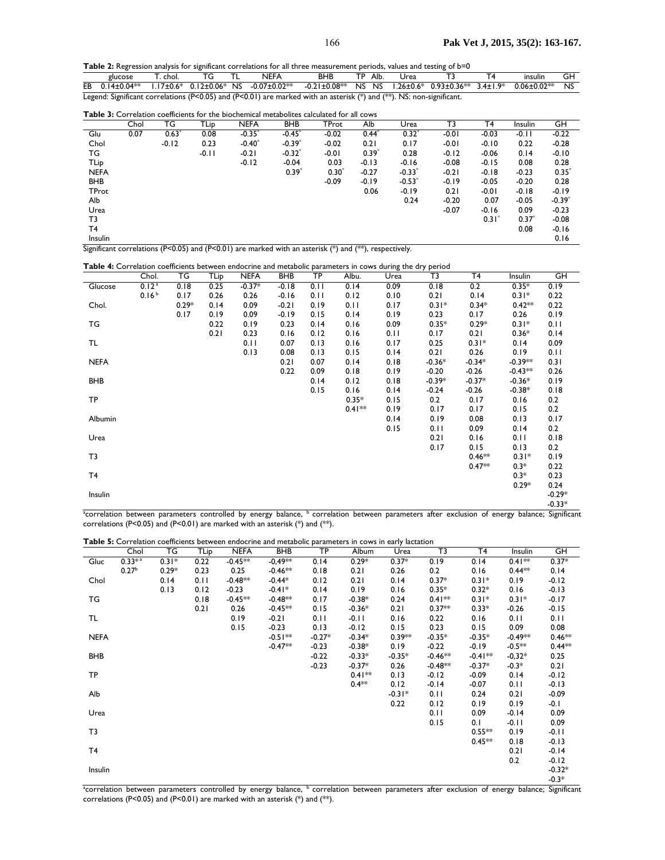Table 2: Regression analysis for significant correlations for all three measurement periods, values and testing of b=0

| glucose                                                                                                               |  | T. chol.            TG          TL |  | NEFA                                                                                                                  | BHB |  |  | TP Alb. Urea | T3 | T4 | insulin | GH |  |
|-----------------------------------------------------------------------------------------------------------------------|--|------------------------------------|--|-----------------------------------------------------------------------------------------------------------------------|-----|--|--|--------------|----|----|---------|----|--|
|                                                                                                                       |  |                                    |  | EB 0.14±0.04** 1.17±0.6* 0.12±0.06* NS -0.07±0.02**  -0.21±0.08** NS NS 1.26±0.6* 0.93±0.36** 3.4±1.9* 0.06±0.02** NS |     |  |  |              |    |    |         |    |  |
| Legend: Significant correlations (P<0.05) and (P<0.01) are marked with an asterisk (*) and (**). NS: non-significant. |  |                                    |  |                                                                                                                       |     |  |  |              |    |    |         |    |  |

**Table 3:** Correlation coefficients for the biochemical metabolites calculated for all cows

|             | Chol | ТG      | TLip    | <b>NEFA</b> | <b>BHB</b> | <b>TProt</b> | Alb     | Urea    | T3      | T4                | Insulin | GH                   |
|-------------|------|---------|---------|-------------|------------|--------------|---------|---------|---------|-------------------|---------|----------------------|
| Glu         | 0.07 | $0.63*$ | 0.08    | $-0.35*$    | $-0.45*$   | $-0.02$      | $0.44*$ | $0.32*$ | $-0.01$ | $-0.03$           | $-0.11$ | $-0.22$              |
| Chol        |      | $-0.12$ | 0.23    | $-0.40$     | $-0.39*$   | $-0.02$      | 0.21    | 0.17    | $-0.01$ | $-0.10$           | 0.22    | $-0.28$              |
| ТG          |      |         | $-0.11$ | $-0.21$     | $-0.32*$   | $-0.01$      | $0.39*$ | 0.28    | $-0.12$ | $-0.06$           | 0.14    | $-0.10$              |
| TLip        |      |         |         | $-0.12$     | $-0.04$    | 0.03         | $-0.13$ | $-0.16$ | $-0.08$ | $-0.15$           | 0.08    | 0.28                 |
| <b>NEFA</b> |      |         |         |             | $0.39^{*}$ | $0.30^{*}$   | $-0.27$ | $-0.33$ | $-0.21$ | $-0.18$           | $-0.23$ | $0.35^{*}$           |
| <b>BHB</b>  |      |         |         |             |            | $-0.09$      | $-0.19$ | $-0.53$ | $-0.19$ | $-0.05$           | $-0.20$ | 0.28                 |
| TProt       |      |         |         |             |            |              | 0.06    | $-0.19$ | 0.21    | $-0.01$           | $-0.18$ | $-0.19$              |
| Alb         |      |         |         |             |            |              |         | 0.24    | $-0.20$ | 0.07              | $-0.05$ | $-0.39$ <sup>*</sup> |
| Urea        |      |         |         |             |            |              |         |         | $-0.07$ | $-0.16$           | 0.09    | $-0.23$              |
| T3          |      |         |         |             |            |              |         |         |         | 0.31 <sup>3</sup> | 0.37    | $-0.08$              |
| T4          |      |         |         |             |            |              |         |         |         |                   | 0.08    | $-0.16$              |
| Insulin     |      |         |         |             |            |              |         |         |         |                   |         | 0.16                 |

Significant correlations (P<0.05) and (P<0.01) are marked with an asterisk (\*) and (\*\*), respectively.

| Table 4: Correlation coefficients between endocrine and metabolic parameters in cows during the dry period |  |
|------------------------------------------------------------------------------------------------------------|--|
|                                                                                                            |  |

|             | Chol.             | TG      | TLip | <b>NEFA</b> | BHB     | $\overline{\text{TP}}$ | Albu.     | Urea | $\cdots$<br>$\overline{13}$ | T <sub>4</sub> | Insulin   | $\overline{\mathsf{G}}$ H |
|-------------|-------------------|---------|------|-------------|---------|------------------------|-----------|------|-----------------------------|----------------|-----------|---------------------------|
|             |                   |         |      |             |         |                        |           |      |                             |                |           |                           |
| Glucose     | 0.12 <sup>a</sup> | 0.18    | 0.25 | $-0.37*$    | $-0.18$ | 0.11                   | 0.14      | 0.09 | 0.18                        | 0.2            | $0.35*$   | 0.19                      |
|             | 0.16 <sup>b</sup> | 0.17    | 0.26 | 0.26        | $-0.16$ | 0.11                   | 0.12      | 0.10 | 0.21                        | 0.14           | $0.31*$   | 0.22                      |
| Chol.       |                   | $0.29*$ | 0.14 | 0.09        | $-0.21$ | 0.19                   | 0.11      | 0.17 | $0.31*$                     | $0.34*$        | $0.42**$  | 0.22                      |
|             |                   | 0.17    | 0.19 | 0.09        | $-0.19$ | 0.15                   | 0.14      | 0.19 | 0.23                        | 0.17           | 0.26      | 0.19                      |
| TG          |                   |         | 0.22 | 0.19        | 0.23    | 0.14                   | 0.16      | 0.09 | $0.35*$                     | $0.29*$        | $0.31*$   | 0.11                      |
|             |                   |         | 0.21 | 0.23        | 0.16    | 0.12                   | 0.16      | 0.11 | 0.17                        | 0.21           | $0.36*$   | 0.14                      |
| TL          |                   |         |      | 0.11        | 0.07    | 0.13                   | 0.16      | 0.17 | 0.25                        | $0.31*$        | 0.14      | 0.09                      |
|             |                   |         |      | 0.13        | 0.08    | 0.13                   | 0.15      | 0.14 | 0.21                        | 0.26           | 0.19      | 0.11                      |
| <b>NEFA</b> |                   |         |      |             | 0.21    | 0.07                   | 0.14      | 0.18 | $-0.36*$                    | $-0.34*$       | $-0.39**$ | 0.31                      |
|             |                   |         |      |             | 0.22    | 0.09                   | 0.18      | 0.19 | $-0.20$                     | $-0.26$        | $-0.43**$ | 0.26                      |
| <b>BHB</b>  |                   |         |      |             |         | 0.14                   | 0.12      | 0.18 | $-0.39*$                    | $-0.37*$       | $-0.36*$  | 0.19                      |
|             |                   |         |      |             |         | 0.15                   | 0.16      | 0.14 | $-0.24$                     | $-0.26$        | $-0.38*$  | 0.18                      |
| TP          |                   |         |      |             |         |                        | $0.35*$   | 0.15 | 0.2                         | 0.17           | 0.16      | 0.2                       |
|             |                   |         |      |             |         |                        | $0.41***$ | 0.19 | 0.17                        | 0.17           | 0.15      | 0.2                       |
|             |                   |         |      |             |         |                        |           |      |                             |                |           |                           |
| Albumin     |                   |         |      |             |         |                        |           | 0.14 | 0.19                        | 0.08           | 0.13      | 0.17                      |
|             |                   |         |      |             |         |                        |           | 0.15 | 0.11                        | 0.09           | 0.14      | 0.2                       |
| Urea        |                   |         |      |             |         |                        |           |      | 0.21                        | 0.16           | 0.11      | 0.18                      |
|             |                   |         |      |             |         |                        |           |      | 0.17                        | 0.15           | 0.13      | 0.2                       |
| T3          |                   |         |      |             |         |                        |           |      |                             | $0.46**$       | $0.31*$   | 0.19                      |
|             |                   |         |      |             |         |                        |           |      |                             | $0.47**$       | $0.3*$    | 0.22                      |
| T4          |                   |         |      |             |         |                        |           |      |                             |                | $0.3*$    | 0.23                      |
|             |                   |         |      |             |         |                        |           |      |                             |                | $0.29*$   | 0.24                      |
| Insulin     |                   |         |      |             |         |                        |           |      |                             |                |           | $-0.29*$                  |
|             |                   |         |      |             |         |                        |           |      |                             |                |           | $-0.33*$                  |

-0.33\*<br>correlation between parameters controlled by energy balance, <sup>b</sup> correlation between parameters after exclusion of energy balance; Significant<sup>, a</sup> correlations (P<0.05) and (P<0.01) are marked with an asterisk  $(*)$  and  $(**)$ .

|  |  | Table 5: Correlation coefficients between endocrine and metabolic parameters in cows in early lactation |
|--|--|---------------------------------------------------------------------------------------------------------|
|--|--|---------------------------------------------------------------------------------------------------------|

|             | Chol                 | TG      | TLip | <b>NEFA</b> | BHB       | $\overline{\mathsf{TP}}$ | Album    | Urea     | $\overline{\mathsf{T}^3}$ | T <sub>4</sub> | Insulin   | $\overline{\mathsf{GH}}$                                                                                                                                             |
|-------------|----------------------|---------|------|-------------|-----------|--------------------------|----------|----------|---------------------------|----------------|-----------|----------------------------------------------------------------------------------------------------------------------------------------------------------------------|
| Gluc        | $0.33*$ <sup>2</sup> | $0.31*$ | 0.22 | $-0.45**$   | $-0,49**$ | 0.14                     | $0.29*$  | $0.37*$  | 0.19                      | 0.14           | $0.41**$  | $0.37*$                                                                                                                                                              |
|             | 0.27 <sup>b</sup>    | $0.29*$ | 0.23 | 0.25        | $-0.46**$ | 0.18                     | 0.21     | 0.26     | 0.2                       | 0.16           | $0.44**$  | 0.14                                                                                                                                                                 |
| Chol        |                      | 0.14    | 0.11 | $-0.48**$   | $-0.44*$  | 0.12                     | 0.21     | 0.14     | $0.37*$                   | $0.31*$        | 0.19      | $-0.12$                                                                                                                                                              |
|             |                      | 0.13    | 0.12 | $-0.23$     | $-0.41*$  | 0.14                     | 0.19     | 0.16     | $0.35*$                   | $0.32*$        | 0.16      | $-0.13$                                                                                                                                                              |
| TG          |                      |         | 0.18 | $-0.45**$   | $-0.48**$ | 0.17                     | $-0.38*$ | 0.24     | $0.41**$                  | $0.31*$        | $0.31*$   | $-0.17$                                                                                                                                                              |
|             |                      |         | 0.21 | 0.26        | $-0.45**$ | 0.15                     | $-0.36*$ | 0.21     | $0.37**$                  | $0.33*$        | $-0.26$   | $-0.15$                                                                                                                                                              |
| TL          |                      |         |      | 0.19        | $-0.21$   | 0.11                     | $-0.11$  | 0.16     | 0.22                      | 0.16           | 0.11      | 0.11                                                                                                                                                                 |
|             |                      |         |      | 0.15        | $-0.23$   | 0.13                     | $-0.12$  | 0.15     | 0.23                      | 0.15           | 0.09      | 0.08                                                                                                                                                                 |
| <b>NEFA</b> |                      |         |      |             | $-0.51**$ | $-0.27*$                 | $-0.34*$ | $0.39**$ | $-0.35*$                  | $-0.35*$       | $-0.49**$ | $0.46***$                                                                                                                                                            |
|             |                      |         |      |             | $-0.47**$ | $-0.23$                  | $-0.38*$ | 0.19     | $-0.22$                   | $-0.19$        | $-0.5**$  | $0.44**$                                                                                                                                                             |
| <b>BHB</b>  |                      |         |      |             |           | $-0.22$                  | $-0.33*$ | $-0.35*$ | $-0.46**$                 | $-0.41**$      | $-0.32*$  | 0.25                                                                                                                                                                 |
|             |                      |         |      |             |           | $-0.23$                  | $-0.37*$ | 0.26     | $-0.48**$                 | $-0.37*$       | $-0.3*$   | 0.21                                                                                                                                                                 |
| <b>TP</b>   |                      |         |      |             |           |                          | $0.41**$ | 0.13     | $-0.12$                   | $-0.09$        | 0.14      | $-0.12$                                                                                                                                                              |
|             |                      |         |      |             |           |                          | $0.4**$  | 0.12     | $-0.14$                   | $-0.07$        | 0.11      | $-0.13$                                                                                                                                                              |
| Alb         |                      |         |      |             |           |                          |          | $-0.31*$ | 0.11                      | 0.24           | 0.21      | $-0.09$                                                                                                                                                              |
|             |                      |         |      |             |           |                          |          | 0.22     | 0.12                      | 0.19           | 0.19      | $-0.1$                                                                                                                                                               |
| Urea        |                      |         |      |             |           |                          |          |          | 0.11                      | 0.09           | $-0.14$   | 0.09                                                                                                                                                                 |
|             |                      |         |      |             |           |                          |          |          | 0.15                      | 0.1            | $-0.11$   | 0.09                                                                                                                                                                 |
| T3          |                      |         |      |             |           |                          |          |          |                           | $0.55**$       | 0.19      | $-0.11$                                                                                                                                                              |
|             |                      |         |      |             |           |                          |          |          |                           | $0.45**$       | 0.18      | $-0.13$                                                                                                                                                              |
| T4          |                      |         |      |             |           |                          |          |          |                           |                | 0.21      | $-0.14$                                                                                                                                                              |
|             |                      |         |      |             |           |                          |          |          |                           |                | 0.2       | $-0.12$                                                                                                                                                              |
| Insulin     |                      |         |      |             |           |                          |          |          |                           |                |           | $-0.32*$                                                                                                                                                             |
|             |                      |         |      |             |           |                          |          |          |                           |                |           | $-0.3*$                                                                                                                                                              |
|             |                      |         |      |             |           |                          |          |          |                           |                |           | <sup>a</sup> correlation between parameters controlled by energy balance, <sup>b</sup> correlation between parameters after exclusion of energy balance; Significant |

correlations (P<0.05) and (P<0.01) are marked with an asterisk  $(*)$  and  $(**)$ .